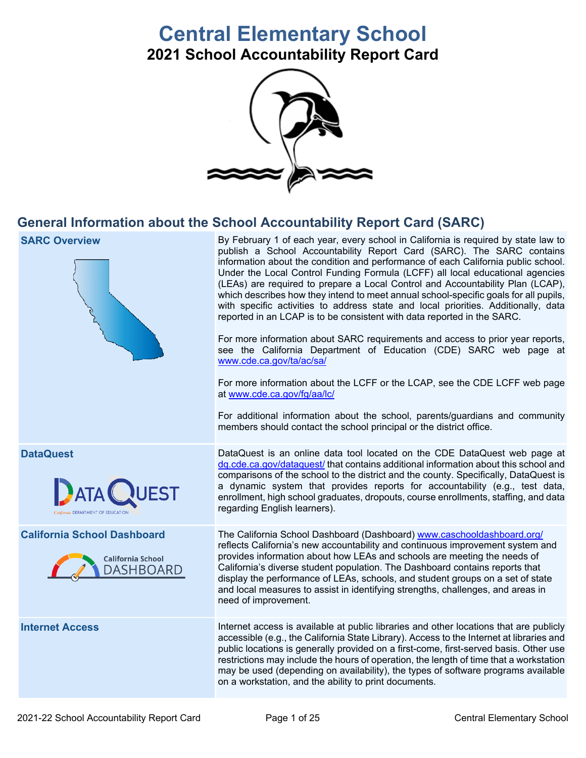# **Central Elementary School**

**2021 School Accountability Report Card** 



## **General Information about the School Accountability Report Card (SARC)**

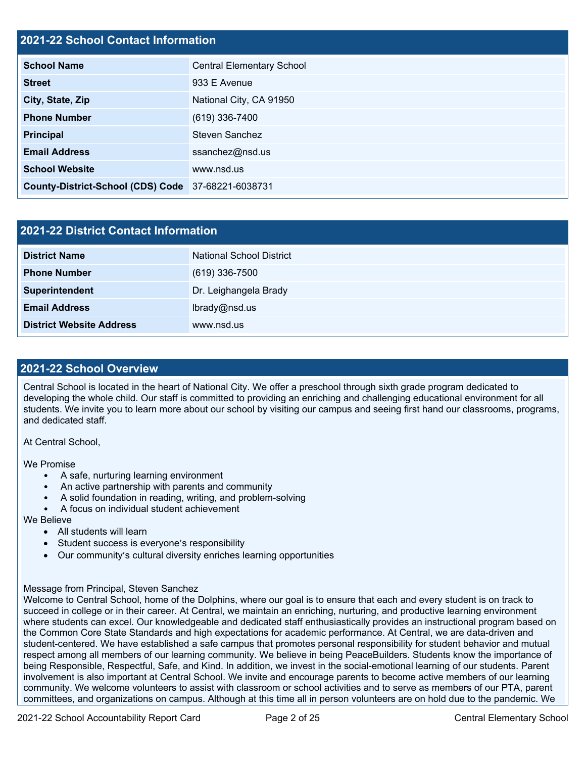### **2021-22 School Contact Information**

| <b>School Name</b>                                 | <b>Central Elementary School</b> |  |  |  |  |
|----------------------------------------------------|----------------------------------|--|--|--|--|
| <b>Street</b>                                      | 933 E Avenue                     |  |  |  |  |
| City, State, Zip                                   | National City, CA 91950          |  |  |  |  |
| <b>Phone Number</b>                                | (619) 336-7400                   |  |  |  |  |
| Principal                                          | <b>Steven Sanchez</b>            |  |  |  |  |
| <b>Email Address</b>                               | ssanchez@nsd.us                  |  |  |  |  |
| <b>School Website</b>                              | www.nsd.us                       |  |  |  |  |
| County-District-School (CDS) Code 37-68221-6038731 |                                  |  |  |  |  |

| 2021-22 District Contact Information |                                 |  |  |  |
|--------------------------------------|---------------------------------|--|--|--|
| <b>District Name</b>                 | <b>National School District</b> |  |  |  |
| <b>Phone Number</b>                  | $(619)$ 336-7500                |  |  |  |
| Superintendent                       | Dr. Leighangela Brady           |  |  |  |
| <b>Email Address</b>                 | lbrady@nsd.us                   |  |  |  |
| <b>District Website Address</b>      | www.nsd.us                      |  |  |  |

### **2021-22 School Overview**

 Central School is located in the heart of National City. We offer a preschool through sixth grade program dedicated to students. We invite you to learn more about our school by visiting our campus and seeing first hand our classrooms, programs, developing the whole child. Our staff is committed to providing an enriching and challenging educational environment for all and dedicated staff.

At Central School,

We Promise

- A safe, nurturing learning environment
- An active partnership with parents and community
- A solid foundation in reading, writing, and problem-solving
- A focus on individual student achievement

We Believe

- All students will learn
- Student success is everyone's responsibility
- Our community's cultural diversity enriches learning opportunities

### Message from Principal, Steven Sanchez

 Welcome to Central School, home of the Dolphins, where our goal is to ensure that each and every student is on track to community. We welcome volunteers to assist with classroom or school activities and to serve as members of our PTA, parent committees, and organizations on campus. Although at this time all in person volunteers are on hold due to the pandemic. We succeed in college or in their career. At Central, we maintain an enriching, nurturing, and productive learning environment where students can excel. Our knowledgeable and dedicated staff enthusiastically provides an instructional program based on the Common Core State Standards and high expectations for academic performance. At Central, we are data-driven and student-centered. We have established a safe campus that promotes personal responsibility for student behavior and mutual respect among all members of our learning community. We believe in being PeaceBuilders. Students know the importance of being Responsible, Respectful, Safe, and Kind. In addition, we invest in the social-emotional learning of our students. Parent involvement is also important at Central School. We invite and encourage parents to become active members of our learning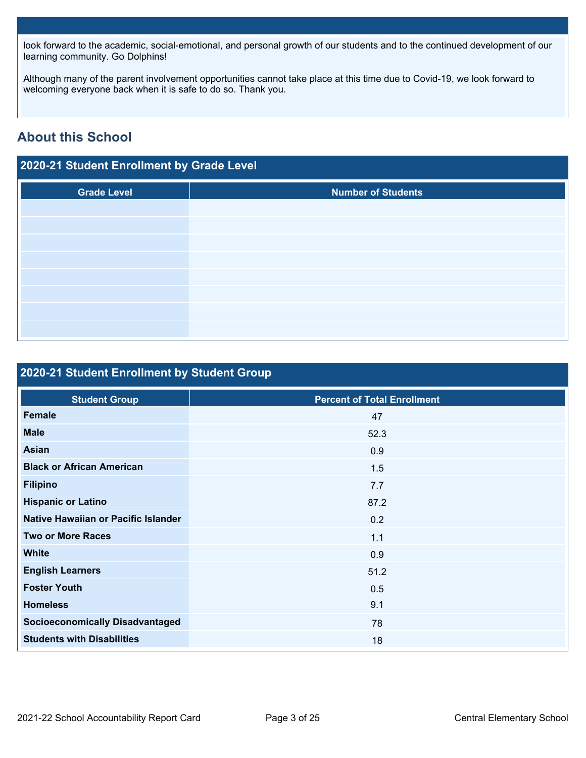look forward to the academic, social-emotional, and personal growth of our students and to the continued development of our learning community. Go Dolphins!

Although many of the parent involvement opportunities cannot take place at this time due to Covid-19, we look forward to welcoming everyone back when it is safe to do so. Thank you.

## **About this School**

| 2020-21 Student Enrollment by Grade Level |                           |  |  |  |  |
|-------------------------------------------|---------------------------|--|--|--|--|
| <b>Grade Level</b>                        | <b>Number of Students</b> |  |  |  |  |
|                                           |                           |  |  |  |  |
|                                           |                           |  |  |  |  |
|                                           |                           |  |  |  |  |
|                                           |                           |  |  |  |  |
|                                           |                           |  |  |  |  |
|                                           |                           |  |  |  |  |
|                                           |                           |  |  |  |  |

## **2020-21 Student Enrollment by Student Group**

| 2020-21 Student Enrollment by Student Group |                                    |  |  |  |  |  |
|---------------------------------------------|------------------------------------|--|--|--|--|--|
|                                             |                                    |  |  |  |  |  |
| <b>Student Group</b>                        | <b>Percent of Total Enrollment</b> |  |  |  |  |  |
| <b>Female</b>                               | 47                                 |  |  |  |  |  |
| <b>Male</b>                                 | 52.3                               |  |  |  |  |  |
| <b>Asian</b>                                | 0.9                                |  |  |  |  |  |
| <b>Black or African American</b>            | 1.5                                |  |  |  |  |  |
| <b>Filipino</b>                             | 7.7                                |  |  |  |  |  |
| <b>Hispanic or Latino</b>                   | 87.2                               |  |  |  |  |  |
| Native Hawaiian or Pacific Islander         | 0.2                                |  |  |  |  |  |
| <b>Two or More Races</b>                    | 1.1                                |  |  |  |  |  |
| <b>White</b>                                | 0.9                                |  |  |  |  |  |
| <b>English Learners</b>                     | 51.2                               |  |  |  |  |  |
| <b>Foster Youth</b>                         | 0.5                                |  |  |  |  |  |
| <b>Homeless</b>                             | 9.1                                |  |  |  |  |  |
| <b>Socioeconomically Disadvantaged</b>      | 78                                 |  |  |  |  |  |
| <b>Students with Disabilities</b>           | 18                                 |  |  |  |  |  |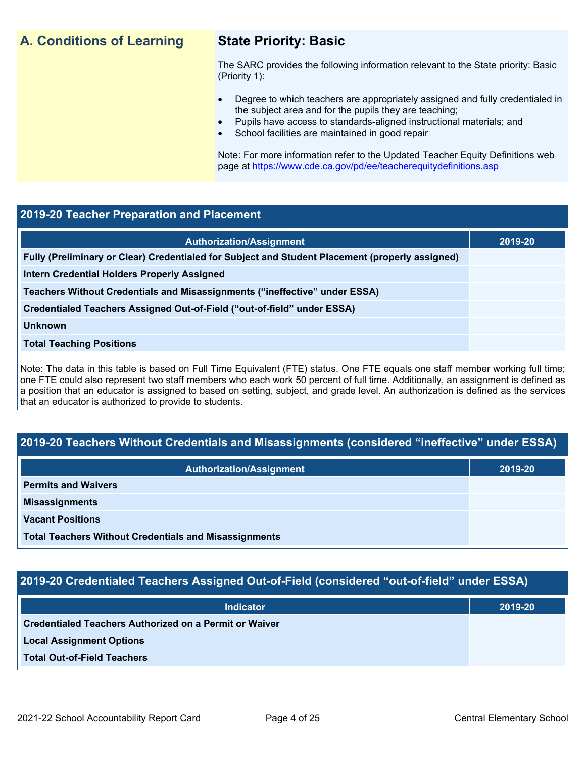## **A. Conditions of Learning State Priority: Basic**

- Degree to which teachers are appropriately assigned and fully credentialed in the subject area and for the pupils they are teaching;
	- Pupils have access to standards-aligned instructional materials; and
- School facilities are maintained in good repair

### **2019-20 Teacher Preparation and Placement**

| <b>A. Conditions of Learning</b>                                           | <b>State Priority: Basic</b><br>The SARC provides the following information relevant to the State priority: Basic<br>(Priority 1):<br>Degree to which teachers are appropriately assigned and fully credentialed in<br>$\bullet$<br>the subject area and for the pupils they are teaching;<br>Pupils have access to standards-aligned instructional materials; and<br>$\bullet$<br>School facilities are maintained in good repair<br>Note: For more information refer to the Updated Teacher Equity Definitions web<br>page at https://www.cde.ca.gov/pd/ee/teacherequitydefinitions.asp |         |  |  |  |
|----------------------------------------------------------------------------|-------------------------------------------------------------------------------------------------------------------------------------------------------------------------------------------------------------------------------------------------------------------------------------------------------------------------------------------------------------------------------------------------------------------------------------------------------------------------------------------------------------------------------------------------------------------------------------------|---------|--|--|--|
|                                                                            |                                                                                                                                                                                                                                                                                                                                                                                                                                                                                                                                                                                           |         |  |  |  |
| 2019-20 Teacher Preparation and Placement                                  |                                                                                                                                                                                                                                                                                                                                                                                                                                                                                                                                                                                           |         |  |  |  |
|                                                                            | <b>Authorization/Assignment</b>                                                                                                                                                                                                                                                                                                                                                                                                                                                                                                                                                           | 2019-20 |  |  |  |
|                                                                            | Fully (Preliminary or Clear) Credentialed for Subject and Student Placement (properly assigned)                                                                                                                                                                                                                                                                                                                                                                                                                                                                                           |         |  |  |  |
| <b>Intern Credential Holders Properly Assigned</b>                         |                                                                                                                                                                                                                                                                                                                                                                                                                                                                                                                                                                                           |         |  |  |  |
| Teachers Without Credentials and Misassignments ("ineffective" under ESSA) |                                                                                                                                                                                                                                                                                                                                                                                                                                                                                                                                                                                           |         |  |  |  |
| Credentialed Teachers Assigned Out-of-Field ("out-of-field" under ESSA)    |                                                                                                                                                                                                                                                                                                                                                                                                                                                                                                                                                                                           |         |  |  |  |
| <b>Unknown</b>                                                             |                                                                                                                                                                                                                                                                                                                                                                                                                                                                                                                                                                                           |         |  |  |  |
| <b>Total Teaching Positions</b>                                            |                                                                                                                                                                                                                                                                                                                                                                                                                                                                                                                                                                                           |         |  |  |  |
| that an educator is authorized to provide to students.                     | Note: The data in this table is based on Full Time Equivalent (FTE) status. One FTE equals one staff member working full time;<br>one FTE could also represent two staff members who each work 50 percent of full time. Additionally, an assignment is defined as<br>a position that an educator is assigned to based on setting, subject, and grade level. An authorization is defined as the services                                                                                                                                                                                   |         |  |  |  |
|                                                                            |                                                                                                                                                                                                                                                                                                                                                                                                                                                                                                                                                                                           |         |  |  |  |
|                                                                            | 2019-20 Teachers Without Credentials and Misassignments (considered "ineffective" under ESSA)                                                                                                                                                                                                                                                                                                                                                                                                                                                                                             |         |  |  |  |
|                                                                            | <b>Authorization/Assignment</b>                                                                                                                                                                                                                                                                                                                                                                                                                                                                                                                                                           | 2019-20 |  |  |  |
| <b>Permits and Waivers</b>                                                 |                                                                                                                                                                                                                                                                                                                                                                                                                                                                                                                                                                                           |         |  |  |  |
| <b>Misassignments</b>                                                      |                                                                                                                                                                                                                                                                                                                                                                                                                                                                                                                                                                                           |         |  |  |  |
| <b>Vacant Positions</b>                                                    |                                                                                                                                                                                                                                                                                                                                                                                                                                                                                                                                                                                           |         |  |  |  |

### **2019-20 Teachers Without Credentials and Misassignments (considered "ineffective" under ESSA)**

| <b>Authorization/Assignment</b>                              | 2019-20 |  |
|--------------------------------------------------------------|---------|--|
| <b>Permits and Waivers</b>                                   |         |  |
| <b>Misassignments</b>                                        |         |  |
| <b>Vacant Positions</b>                                      |         |  |
| <b>Total Teachers Without Credentials and Misassignments</b> |         |  |

### **2019-20 Credentialed Teachers Assigned Out-of-Field (considered "out-of-field" under ESSA)**

| <b>Indicator</b>                                       | 2019-20 |
|--------------------------------------------------------|---------|
| Credentialed Teachers Authorized on a Permit or Waiver |         |
| <b>Local Assignment Options</b>                        |         |
| <b>Total Out-of-Field Teachers</b>                     |         |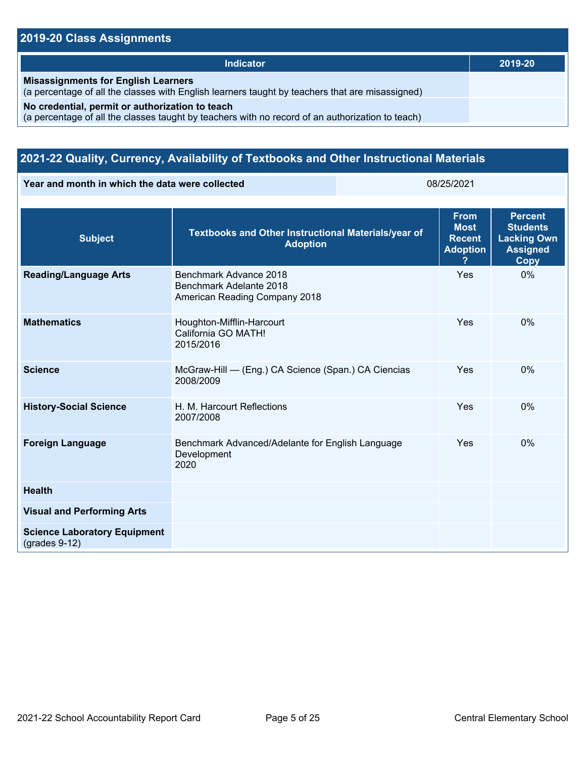### **2019-20 Class Assignments**

| Indicator                                                                                                                                           | 2019-20 |
|-----------------------------------------------------------------------------------------------------------------------------------------------------|---------|
| <b>Misassignments for English Learners</b><br>(a percentage of all the classes with English learners taught by teachers that are misassigned)       |         |
| No credential, permit or authorization to teach<br>(a percentage of all the classes taught by teachers with no record of an authorization to teach) |         |

### **2021-22 Quality, Currency, Availability of Textbooks and Other Instructional Materials**

**Year and month in which the data were collected** 08/25/2021

| <b>Subject</b>                                         | Textbooks and Other Instructional Materials/year of<br><b>Adoption</b>             | <b>From</b><br><b>Most</b><br><b>Recent</b><br><b>Adoption</b><br>? | <b>Percent</b><br><b>Students</b><br><b>Lacking Own</b><br><b>Assigned</b><br><b>Copy</b> |
|--------------------------------------------------------|------------------------------------------------------------------------------------|---------------------------------------------------------------------|-------------------------------------------------------------------------------------------|
| <b>Reading/Language Arts</b>                           | Benchmark Advance 2018<br>Benchmark Adelante 2018<br>American Reading Company 2018 | Yes                                                                 | 0%                                                                                        |
| <b>Mathematics</b>                                     | Houghton-Mifflin-Harcourt<br>California GO MATH!<br>2015/2016                      | Yes                                                                 | $0\%$                                                                                     |
| <b>Science</b>                                         | McGraw-Hill - (Eng.) CA Science (Span.) CA Ciencias<br>2008/2009                   | Yes                                                                 | 0%                                                                                        |
| <b>History-Social Science</b>                          | H. M. Harcourt Reflections<br>2007/2008                                            | Yes                                                                 | 0%                                                                                        |
| <b>Foreign Language</b>                                | Benchmark Advanced/Adelante for English Language<br>Development<br>2020            | Yes                                                                 | 0%                                                                                        |
| <b>Health</b>                                          |                                                                                    |                                                                     |                                                                                           |
| <b>Visual and Performing Arts</b>                      |                                                                                    |                                                                     |                                                                                           |
| <b>Science Laboratory Equipment</b><br>$(grades 9-12)$ |                                                                                    |                                                                     |                                                                                           |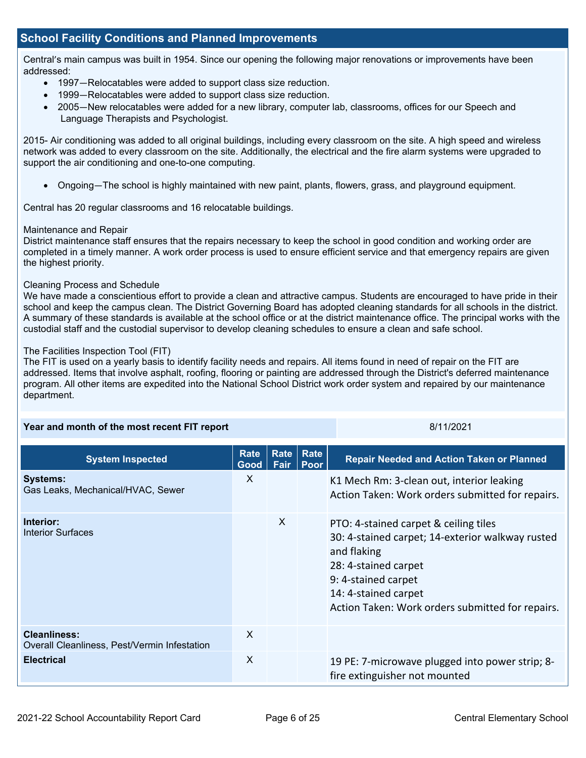### **School Facility Conditions and Planned Improvements**

Central's main campus was built in 1954. Since our opening the following major renovations or improvements have been addressed:

- 1997—Relocatables were added to support class size reduction.
- 1999—Relocatables were added to support class size reduction.
- 2005—New relocatables were added for a new library, computer lab, classrooms, offices for our Speech and Language Therapists and Psychologist.

2015- Air conditioning was added to all original buildings, including every classroom on the site. A high speed and wireless network was added to every classroom on the site. Additionally, the electrical and the fire alarm systems were upgraded to support the air conditioning and one-to-one computing.

• Ongoing—The school is highly maintained with new paint, plants, flowers, grass, and playground equipment.

Central has 20 regular classrooms and 16 relocatable buildings.

### Maintenance and Repair

District maintenance staff ensures that the repairs necessary to keep the school in good condition and working order are completed in a timely manner. A work order process is used to ensure efficient service and that emergency repairs are given the highest priority.

### Cleaning Process and Schedule

We have made a conscientious effort to provide a clean and attractive campus. Students are encouraged to have pride in their school and keep the campus clean. The District Governing Board has adopted cleaning standards for all schools in the district. A summary of these standards is available at the school office or at the district maintenance office. The principal works with the custodial staff and the custodial supervisor to develop cleaning schedules to ensure a clean and safe school.

### The Facilities Inspection Tool (FIT)

The FIT is used on a yearly basis to identify facility needs and repairs. All items found in need of repair on the FIT are addressed. Items that involve asphalt, roofing, flooring or painting are addressed through the District's deferred maintenance program. All other items are expedited into the National School District work order system and repaired by our maintenance department.

| Year and month of the most recent FIT report                        |                     |                     | 8/11/2021           |                                                                                                                                                                                                                                     |
|---------------------------------------------------------------------|---------------------|---------------------|---------------------|-------------------------------------------------------------------------------------------------------------------------------------------------------------------------------------------------------------------------------------|
| <b>System Inspected</b>                                             | <b>Rate</b><br>Good | <b>Rate</b><br>Fair | <b>Rate</b><br>Poor | <b>Repair Needed and Action Taken or Planned</b>                                                                                                                                                                                    |
| <b>Systems:</b><br>Gas Leaks, Mechanical/HVAC, Sewer                | X                   |                     |                     | K1 Mech Rm: 3-clean out, interior leaking<br>Action Taken: Work orders submitted for repairs.                                                                                                                                       |
| Interior:<br><b>Interior Surfaces</b>                               |                     | X                   |                     | PTO: 4-stained carpet & ceiling tiles<br>30: 4-stained carpet; 14-exterior walkway rusted<br>and flaking<br>28: 4-stained carpet<br>9: 4-stained carpet<br>14: 4-stained carpet<br>Action Taken: Work orders submitted for repairs. |
| <b>Cleanliness:</b><br>Overall Cleanliness, Pest/Vermin Infestation | $\times$            |                     |                     |                                                                                                                                                                                                                                     |
| <b>Electrical</b>                                                   | X                   |                     |                     | 19 PE: 7-microwave plugged into power strip; 8-<br>fire extinguisher not mounted                                                                                                                                                    |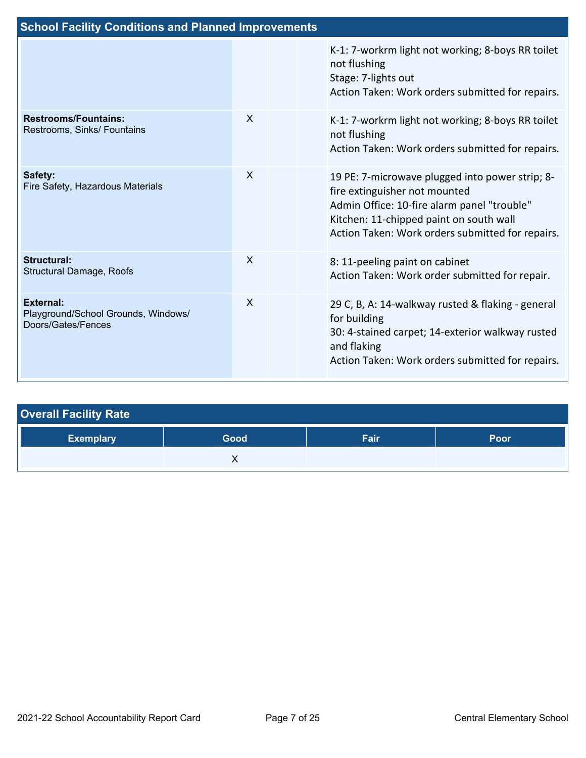| <b>School Facility Conditions and Planned Improvements</b>                    |                           |  |                                                                                                                                                                                                                                |  |
|-------------------------------------------------------------------------------|---------------------------|--|--------------------------------------------------------------------------------------------------------------------------------------------------------------------------------------------------------------------------------|--|
|                                                                               |                           |  | K-1: 7-workrm light not working; 8-boys RR toilet<br>not flushing<br>Stage: 7-lights out<br>Action Taken: Work orders submitted for repairs.                                                                                   |  |
| <b>Restrooms/Fountains:</b><br>Restrooms, Sinks/ Fountains                    | $\times$                  |  | K-1: 7-workrm light not working; 8-boys RR toilet<br>not flushing<br>Action Taken: Work orders submitted for repairs.                                                                                                          |  |
| Safety:<br>Fire Safety, Hazardous Materials                                   | $\times$                  |  | 19 PE: 7-microwave plugged into power strip; 8-<br>fire extinguisher not mounted<br>Admin Office: 10-fire alarm panel "trouble"<br>Kitchen: 11-chipped paint on south wall<br>Action Taken: Work orders submitted for repairs. |  |
| <b>Structural:</b><br>Structural Damage, Roofs                                | $\mathsf{x}$              |  | 8: 11-peeling paint on cabinet<br>Action Taken: Work order submitted for repair.                                                                                                                                               |  |
| <b>External:</b><br>Playground/School Grounds, Windows/<br>Doors/Gates/Fences | $\boldsymbol{\mathsf{X}}$ |  | 29 C, B, A: 14-walkway rusted & flaking - general<br>for building<br>30: 4-stained carpet; 14-exterior walkway rusted<br>and flaking<br>Action Taken: Work orders submitted for repairs.                                       |  |

| <b>Overall Facility Rate</b> |      |      |      |  |  |  |
|------------------------------|------|------|------|--|--|--|
| <b>Exemplary</b>             | Good | Fair | Poor |  |  |  |
|                              |      |      |      |  |  |  |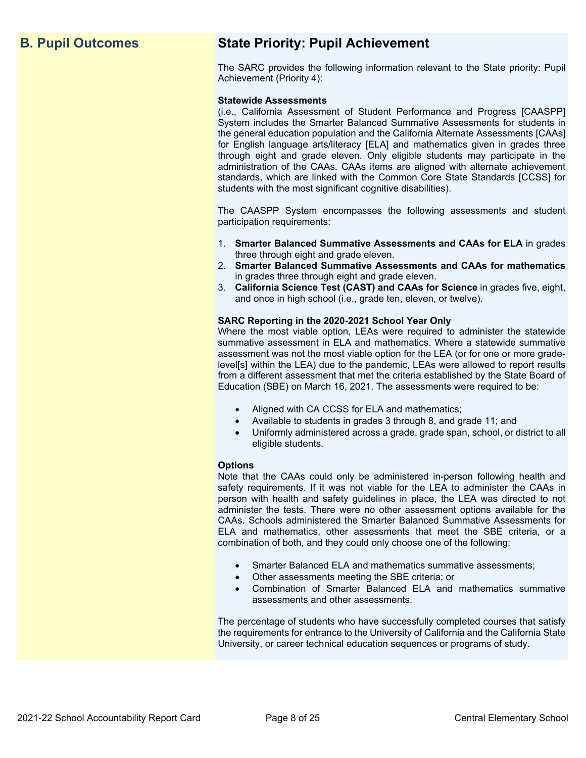## **B. Pupil Outcomes State Priority: Pupil Achievement**

The SARC provides the following information relevant to the State priority: Pupil Achievement (Priority 4):

### **Statewide Assessments**

 (i.e., California Assessment of Student Performance and Progress [CAASPP] System includes the Smarter Balanced Summative Assessments for students in for English language arts/literacy [ELA] and mathematics given in grades three through eight and grade eleven. Only eligible students may participate in the standards, which are linked with the Common Core State Standards [CCSS] for the general education population and the California Alternate Assessments [CAAs] administration of the CAAs. CAAs items are aligned with alternate achievement students with the most significant cognitive disabilities).

The CAASPP System encompasses the following assessments and student participation requirements:

- 1. **Smarter Balanced Summative Assessments and CAAs for ELA** in grades three through eight and grade eleven.
- 2. **Smarter Balanced Summative Assessments and CAAs for mathematics** in grades three through eight and grade eleven.
- 3. **California Science Test (CAST) and CAAs for Science** in grades five, eight, and once in high school (i.e., grade ten, eleven, or twelve).

### **SARC Reporting in the 2020-2021 School Year Only**

Where the most viable option, LEAs were required to administer the statewide summative assessment in ELA and mathematics. Where a statewide summative assessment was not the most viable option for the LEA (or for one or more gradelevel[s] within the LEA) due to the pandemic, LEAs were allowed to report results from a different assessment that met the criteria established by the State Board of Education (SBE) on March 16, 2021. The assessments were required to be:

- Aligned with CA CCSS for ELA and mathematics;
- Available to students in grades 3 through 8, and grade 11; and
- Uniformly administered across a grade, grade span, school, or district to all eligible students.

### **Options**

Note that the CAAs could only be administered in-person following health and safety requirements. If it was not viable for the LEA to administer the CAAs in person with health and safety guidelines in place, the LEA was directed to not administer the tests. There were no other assessment options available for the CAAs. Schools administered the Smarter Balanced Summative Assessments for ELA and mathematics, other assessments that meet the SBE criteria, or a combination of both, and they could only choose one of the following:

- Smarter Balanced ELA and mathematics summative assessments;
- Other assessments meeting the SBE criteria; or
- Combination of Smarter Balanced ELA and mathematics summative assessments and other assessments.

The percentage of students who have successfully completed courses that satisfy the requirements for entrance to the University of California and the California State University, or career technical education sequences or programs of study.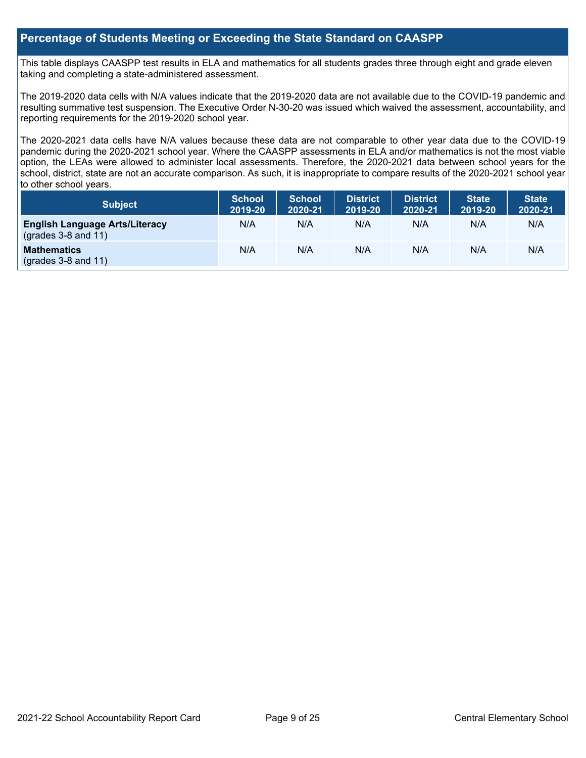### **Percentage of Students Meeting or Exceeding the State Standard on CAASPP**

 taking and completing a state-administered assessment. This table displays CAASPP test results in ELA and mathematics for all students grades three through eight and grade eleven

The 2019-2020 data cells with N/A values indicate that the 2019-2020 data are not available due to the COVID-19 pandemic and resulting summative test suspension. The Executive Order N-30-20 was issued which waived the assessment, accountability, and reporting requirements for the 2019-2020 school year.

 pandemic during the 2020-2021 school year. Where the CAASPP assessments in ELA and/or mathematics is not the most viable school, district, state are not an accurate comparison. As such, it is inappropriate to compare results of the 2020-2021 school year The 2020-2021 data cells have N/A values because these data are not comparable to other year data due to the COVID-19 option, the LEAs were allowed to administer local assessments. Therefore, the 2020-2021 data between school years for the to other school years.

| Subject                                                              | <b>School</b><br>2019-20 | <b>School</b><br>2020-21 | <b>District</b><br>2019-20 | <b>District</b><br>2020-21 | <b>State</b><br>2019-20 | <b>State</b><br>2020-21 |
|----------------------------------------------------------------------|--------------------------|--------------------------|----------------------------|----------------------------|-------------------------|-------------------------|
| <b>English Language Arts/Literacy</b><br>$\left($ grades 3-8 and 11) | N/A                      | N/A                      | N/A                        | N/A                        | N/A                     | N/A                     |
| <b>Mathematics</b><br>$(grades 3-8 and 11)$                          | N/A                      | N/A                      | N/A                        | N/A                        | N/A                     | N/A                     |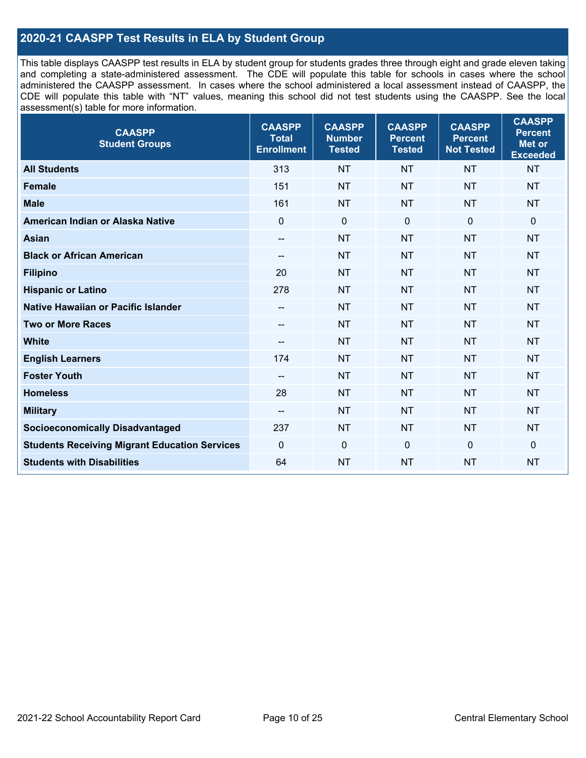### **2020-21 CAASPP Test Results in ELA by Student Group**

 and completing a state-administered assessment. The CDE will populate this table for schools in cases where the school CDE will populate this table with "NT" values, meaning this school did not test students using the CAASPP. See the local This table displays CAASPP test results in ELA by student group for students grades three through eight and grade eleven taking administered the CAASPP assessment. In cases where the school administered a local assessment instead of CAASPP, the assessment(s) table for more information.

| <b>CAASPP</b><br><b>Student Groups</b>               | <b>CAASPP</b><br><b>Total</b><br><b>Enrollment</b> | <b>CAASPP</b><br><b>Number</b><br><b>Tested</b> | <b>CAASPP</b><br><b>Percent</b><br><b>Tested</b> | <b>CAASPP</b><br><b>Percent</b><br><b>Not Tested</b> | <b>CAASPP</b><br><b>Percent</b><br>Met or<br><b>Exceeded</b> |
|------------------------------------------------------|----------------------------------------------------|-------------------------------------------------|--------------------------------------------------|------------------------------------------------------|--------------------------------------------------------------|
| <b>All Students</b>                                  | 313                                                | <b>NT</b>                                       | <b>NT</b>                                        | <b>NT</b>                                            | <b>NT</b>                                                    |
| <b>Female</b>                                        | 151                                                | <b>NT</b>                                       | <b>NT</b>                                        | <b>NT</b>                                            | <b>NT</b>                                                    |
| <b>Male</b>                                          | 161                                                | <b>NT</b>                                       | <b>NT</b>                                        | <b>NT</b>                                            | <b>NT</b>                                                    |
| American Indian or Alaska Native                     | $\mathbf 0$                                        | $\mathbf 0$                                     | $\mathbf 0$                                      | $\mathbf 0$                                          | 0                                                            |
| <b>Asian</b>                                         | $\overline{\phantom{a}}$                           | <b>NT</b>                                       | <b>NT</b>                                        | <b>NT</b>                                            | <b>NT</b>                                                    |
| <b>Black or African American</b>                     | $\overline{\phantom{a}}$                           | <b>NT</b>                                       | <b>NT</b>                                        | <b>NT</b>                                            | <b>NT</b>                                                    |
| <b>Filipino</b>                                      | 20                                                 | <b>NT</b>                                       | <b>NT</b>                                        | <b>NT</b>                                            | <b>NT</b>                                                    |
| <b>Hispanic or Latino</b>                            | 278                                                | <b>NT</b>                                       | <b>NT</b>                                        | <b>NT</b>                                            | <b>NT</b>                                                    |
| <b>Native Hawaiian or Pacific Islander</b>           | $\overline{\phantom{a}}$                           | <b>NT</b>                                       | <b>NT</b>                                        | <b>NT</b>                                            | <b>NT</b>                                                    |
| <b>Two or More Races</b>                             | $- -$                                              | <b>NT</b>                                       | <b>NT</b>                                        | <b>NT</b>                                            | <b>NT</b>                                                    |
| <b>White</b>                                         | $\overline{\phantom{a}}$                           | <b>NT</b>                                       | <b>NT</b>                                        | <b>NT</b>                                            | <b>NT</b>                                                    |
| <b>English Learners</b>                              | 174                                                | <b>NT</b>                                       | <b>NT</b>                                        | <b>NT</b>                                            | <b>NT</b>                                                    |
| <b>Foster Youth</b>                                  | $\overline{\phantom{a}}$                           | <b>NT</b>                                       | <b>NT</b>                                        | <b>NT</b>                                            | <b>NT</b>                                                    |
| <b>Homeless</b>                                      | 28                                                 | <b>NT</b>                                       | <b>NT</b>                                        | <b>NT</b>                                            | <b>NT</b>                                                    |
| <b>Military</b>                                      | $\overline{\phantom{a}}$                           | <b>NT</b>                                       | <b>NT</b>                                        | <b>NT</b>                                            | <b>NT</b>                                                    |
| <b>Socioeconomically Disadvantaged</b>               | 237                                                | <b>NT</b>                                       | <b>NT</b>                                        | <b>NT</b>                                            | <b>NT</b>                                                    |
| <b>Students Receiving Migrant Education Services</b> | $\mathbf 0$                                        | $\mathbf 0$                                     | $\mathbf 0$                                      | $\mathbf 0$                                          | 0                                                            |
| <b>Students with Disabilities</b>                    | 64                                                 | <b>NT</b>                                       | <b>NT</b>                                        | <b>NT</b>                                            | <b>NT</b>                                                    |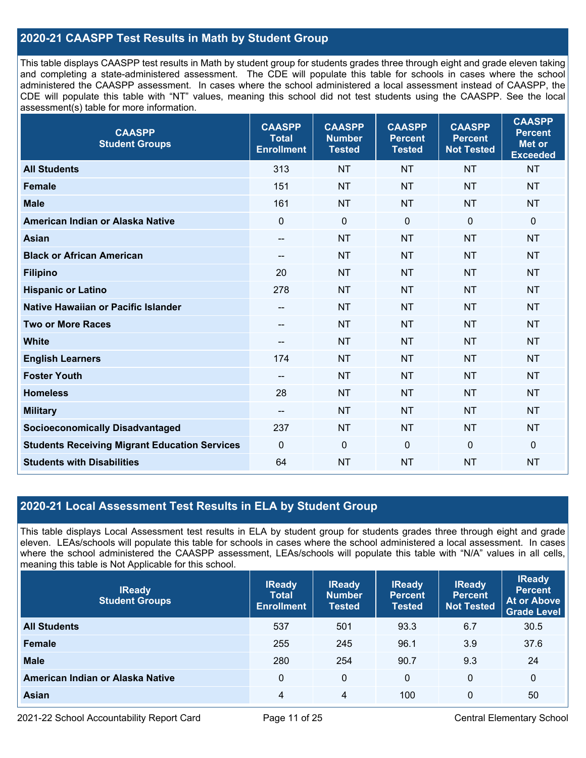### **2020-21 CAASPP Test Results in Math by Student Group**

 This table displays CAASPP test results in Math by student group for students grades three through eight and grade eleven taking and completing a state-administered assessment. The CDE will populate this table for schools in cases where the school CDE will populate this table with "NT" values, meaning this school did not test students using the CAASPP. See the local administered the CAASPP assessment. In cases where the school administered a local assessment instead of CAASPP, the assessment(s) table for more information.

| <b>CAASPP</b><br><b>Student Groups</b>               | <b>CAASPP</b><br><b>Total</b><br><b>Enrollment</b> | <b>CAASPP</b><br><b>Number</b><br><b>Tested</b> | <b>CAASPP</b><br><b>Percent</b><br><b>Tested</b> | <b>CAASPP</b><br><b>Percent</b><br><b>Not Tested</b> | <b>CAASPP</b><br><b>Percent</b><br><b>Met or</b><br><b>Exceeded</b> |
|------------------------------------------------------|----------------------------------------------------|-------------------------------------------------|--------------------------------------------------|------------------------------------------------------|---------------------------------------------------------------------|
| <b>All Students</b>                                  | 313                                                | <b>NT</b>                                       | <b>NT</b>                                        | <b>NT</b>                                            | <b>NT</b>                                                           |
| <b>Female</b>                                        | 151                                                | <b>NT</b>                                       | <b>NT</b>                                        | <b>NT</b>                                            | <b>NT</b>                                                           |
| <b>Male</b>                                          | 161                                                | <b>NT</b>                                       | <b>NT</b>                                        | <b>NT</b>                                            | <b>NT</b>                                                           |
| American Indian or Alaska Native                     | $\mathbf 0$                                        | $\pmb{0}$                                       | $\mathbf 0$                                      | $\overline{0}$                                       | $\pmb{0}$                                                           |
| <b>Asian</b>                                         | $\overline{\phantom{m}}$                           | <b>NT</b>                                       | <b>NT</b>                                        | <b>NT</b>                                            | <b>NT</b>                                                           |
| <b>Black or African American</b>                     | $-\!$ $\!-$                                        | <b>NT</b>                                       | <b>NT</b>                                        | <b>NT</b>                                            | <b>NT</b>                                                           |
| <b>Filipino</b>                                      | 20                                                 | <b>NT</b>                                       | <b>NT</b>                                        | <b>NT</b>                                            | <b>NT</b>                                                           |
| <b>Hispanic or Latino</b>                            | 278                                                | <b>NT</b>                                       | <b>NT</b>                                        | <b>NT</b>                                            | <b>NT</b>                                                           |
| <b>Native Hawaiian or Pacific Islander</b>           | $-\!$ $\!-$                                        | <b>NT</b>                                       | <b>NT</b>                                        | <b>NT</b>                                            | <b>NT</b>                                                           |
| <b>Two or More Races</b>                             | $- -$                                              | <b>NT</b>                                       | <b>NT</b>                                        | <b>NT</b>                                            | <b>NT</b>                                                           |
| <b>White</b>                                         | $-\!$ $\!-$                                        | <b>NT</b>                                       | <b>NT</b>                                        | <b>NT</b>                                            | <b>NT</b>                                                           |
| <b>English Learners</b>                              | 174                                                | <b>NT</b>                                       | <b>NT</b>                                        | <b>NT</b>                                            | <b>NT</b>                                                           |
| <b>Foster Youth</b>                                  | $-$                                                | <b>NT</b>                                       | <b>NT</b>                                        | <b>NT</b>                                            | <b>NT</b>                                                           |
| <b>Homeless</b>                                      | 28                                                 | <b>NT</b>                                       | <b>NT</b>                                        | <b>NT</b>                                            | <b>NT</b>                                                           |
| <b>Military</b>                                      | $-\!$ $\!-$                                        | <b>NT</b>                                       | <b>NT</b>                                        | <b>NT</b>                                            | <b>NT</b>                                                           |
| <b>Socioeconomically Disadvantaged</b>               | 237                                                | <b>NT</b>                                       | <b>NT</b>                                        | <b>NT</b>                                            | <b>NT</b>                                                           |
| <b>Students Receiving Migrant Education Services</b> | $\mathbf 0$                                        | $\mathbf 0$                                     | $\mathbf 0$                                      | 0                                                    | $\mathbf 0$                                                         |
| <b>Students with Disabilities</b>                    | 64                                                 | <b>NT</b>                                       | <b>NT</b>                                        | <b>NT</b>                                            | <b>NT</b>                                                           |

### **2020-21 Local Assessment Test Results in ELA by Student Group**

 eleven. LEAs/schools will populate this table for schools in cases where the school administered a local assessment. In cases This table displays Local Assessment test results in ELA by student group for students grades three through eight and grade where the school administered the CAASPP assessment, LEAs/schools will populate this table with "N/A" values in all cells, meaning this table is Not Applicable for this school.

| <b>IReady</b><br><b>Student Groups</b> | <b>IReady</b><br><b>Total</b><br><b>Enrollment</b> | <b>IReady</b><br><b>Number</b><br><b>Tested</b> | <b>IReady</b><br><b>Percent</b><br><b>Tested</b> | <b>IReady</b><br><b>Percent</b><br><b>Not Tested</b> | <b>IReady</b><br><b>Percent</b><br><b>At or Above</b><br>Grade Level |
|----------------------------------------|----------------------------------------------------|-------------------------------------------------|--------------------------------------------------|------------------------------------------------------|----------------------------------------------------------------------|
| <b>All Students</b>                    | 537                                                | 501                                             | 93.3                                             | 6.7                                                  | 30.5                                                                 |
| Female                                 | 255                                                | 245                                             | 96.1                                             | 3.9                                                  | 37.6                                                                 |
| <b>Male</b>                            | 280                                                | 254                                             | 90.7                                             | 9.3                                                  | 24                                                                   |
| American Indian or Alaska Native       | $\Omega$                                           | 0                                               | $\Omega$                                         | $\mathbf{0}$                                         | 0                                                                    |
| Asian                                  | 4                                                  | 4                                               | 100                                              | 0                                                    | 50                                                                   |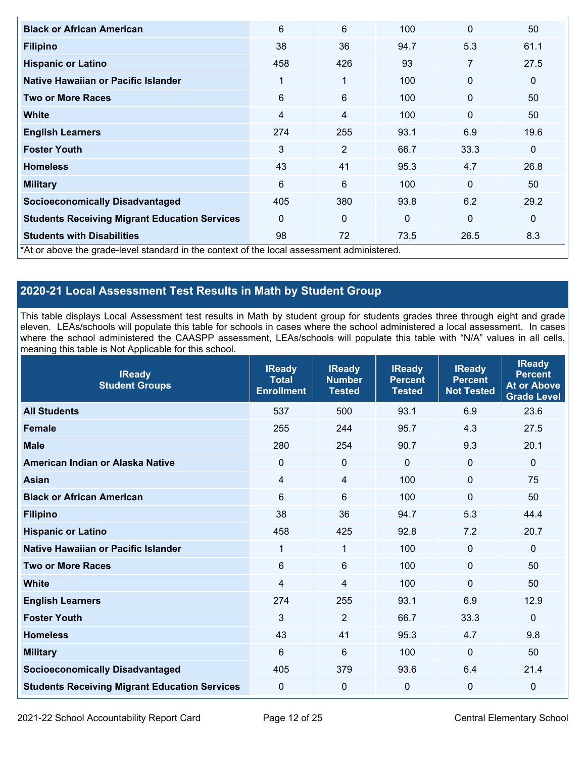| <b>Black or African American</b>                                                           | 6                       | 6              | 100         | $\Omega$    | 50           |
|--------------------------------------------------------------------------------------------|-------------------------|----------------|-------------|-------------|--------------|
| <b>Filipino</b>                                                                            | 38                      | 36             | 94.7        | 5.3         | 61.1         |
| <b>Hispanic or Latino</b>                                                                  | 458                     | 426            | 93          | 7           | 27.5         |
| Native Hawaiian or Pacific Islander                                                        | 1                       | 1              | 100         | $\mathbf 0$ | $\mathbf 0$  |
| <b>Two or More Races</b>                                                                   | 6                       | 6              | 100         | $\mathbf 0$ | 50           |
| <b>White</b>                                                                               | $\overline{\mathbf{4}}$ | 4              | 100         | $\mathbf 0$ | 50           |
| <b>English Learners</b>                                                                    | 274                     | 255            | 93.1        | 6.9         | 19.6         |
| <b>Foster Youth</b>                                                                        | 3                       | $\overline{2}$ | 66.7        | 33.3        | $\mathbf 0$  |
| <b>Homeless</b>                                                                            | 43                      | 41             | 95.3        | 4.7         | 26.8         |
| <b>Military</b>                                                                            | 6                       | 6              | 100         | $\mathbf 0$ | 50           |
| <b>Socioeconomically Disadvantaged</b>                                                     | 405                     | 380            | 93.8        | 6.2         | 29.2         |
| <b>Students Receiving Migrant Education Services</b>                                       | $\Omega$                | 0              | $\mathbf 0$ | $\mathbf 0$ | $\mathbf{0}$ |
| <b>Students with Disabilities</b>                                                          | 98                      | 72             | 73.5        | 26.5        | 8.3          |
| *At or above the grade-level standard in the context of the local assessment administered. |                         |                |             |             |              |

## **2020-21 Local Assessment Test Results in Math by Student Group**

 This table displays Local Assessment test results in Math by student group for students grades three through eight and grade eleven. LEAs/schools will populate this table for schools in cases where the school administered a local assessment. In cases where the school administered the CAASPP assessment, LEAs/schools will populate this table with "N/A" values in all cells, meaning this table is Not Applicable for this school.

| <b>IReady</b><br><b>Student Groups</b>               | <b>IReady</b><br><b>Total</b><br><b>Enrollment</b> | <b>IReady</b><br><b>Number</b><br><b>Tested</b> | <b>IReady</b><br><b>Percent</b><br><b>Tested</b> | <b>IReady</b><br><b>Percent</b><br><b>Not Tested</b> | <b>IReady</b><br><b>Percent</b><br><b>At or Above</b><br><b>Grade Level</b> |
|------------------------------------------------------|----------------------------------------------------|-------------------------------------------------|--------------------------------------------------|------------------------------------------------------|-----------------------------------------------------------------------------|
| <b>All Students</b>                                  | 537                                                | 500                                             | 93.1                                             | 6.9                                                  | 23.6                                                                        |
| <b>Female</b>                                        | 255                                                | 244                                             | 95.7                                             | 4.3                                                  | 27.5                                                                        |
| <b>Male</b>                                          | 280                                                | 254                                             | 90.7                                             | 9.3                                                  | 20.1                                                                        |
| American Indian or Alaska Native                     | $\Omega$                                           | 0                                               | $\Omega$                                         | $\Omega$                                             | $\mathbf 0$                                                                 |
| <b>Asian</b>                                         | 4                                                  | $\overline{4}$                                  | 100                                              | $\Omega$                                             | 75                                                                          |
| <b>Black or African American</b>                     | 6                                                  | 6                                               | 100                                              | $\mathbf 0$                                          | 50                                                                          |
| <b>Filipino</b>                                      | 38                                                 | 36                                              | 94.7                                             | 5.3                                                  | 44.4                                                                        |
| <b>Hispanic or Latino</b>                            | 458                                                | 425                                             | 92.8                                             | 7.2                                                  | 20.7                                                                        |
| <b>Native Hawaiian or Pacific Islander</b>           | 1                                                  | $\mathbf{1}$                                    | 100                                              | $\mathbf 0$                                          | $\mathbf 0$                                                                 |
| <b>Two or More Races</b>                             | 6                                                  | 6                                               | 100                                              | $\mathbf 0$                                          | 50                                                                          |
| <b>White</b>                                         | 4                                                  | 4                                               | 100                                              | $\mathbf 0$                                          | 50                                                                          |
| <b>English Learners</b>                              | 274                                                | 255                                             | 93.1                                             | 6.9                                                  | 12.9                                                                        |
| <b>Foster Youth</b>                                  | 3                                                  | $\overline{2}$                                  | 66.7                                             | 33.3                                                 | $\mathbf 0$                                                                 |
| <b>Homeless</b>                                      | 43                                                 | 41                                              | 95.3                                             | 4.7                                                  | 9.8                                                                         |
| <b>Military</b>                                      | 6                                                  | 6                                               | 100                                              | $\Omega$                                             | 50                                                                          |
| <b>Socioeconomically Disadvantaged</b>               | 405                                                | 379                                             | 93.6                                             | 6.4                                                  | 21.4                                                                        |
| <b>Students Receiving Migrant Education Services</b> | 0                                                  | 0                                               | 0                                                | $\mathbf 0$                                          | $\mathbf 0$                                                                 |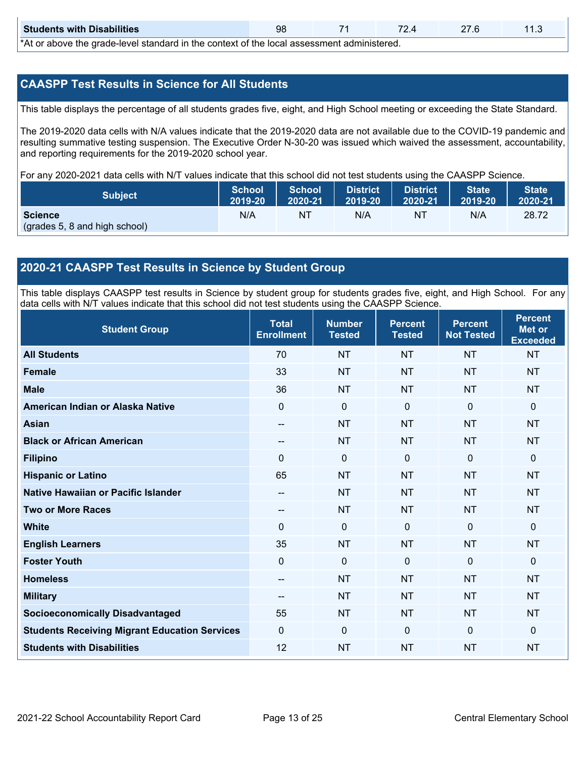| <b>Students with Disabilities</b> | 9٤                                                                                                                |  |  |  |  |  |  |  |  |  |
|-----------------------------------|-------------------------------------------------------------------------------------------------------------------|--|--|--|--|--|--|--|--|--|
|                                   | المحصولين ويرامح المصوصوص وجوج المجال وحالية والمتلوث وجواليون المرجاء مرجله المربول والمجسم وحالي مرجوات ممراكات |  |  |  |  |  |  |  |  |  |

\*At or above the grade-level standard in the context of the local assessment administered.

### **CAASPP Test Results in Science for All Students**

This table displays the percentage of all students grades five, eight, and High School meeting or exceeding the State Standard.

 resulting summative testing suspension. The Executive Order N-30-20 was issued which waived the assessment, accountability, and reporting requirements for the 2019-2020 school year. The 2019-2020 data cells with N/A values indicate that the 2019-2020 data are not available due to the COVID-19 pandemic and

For any 2020-2021 data cells with N/T values indicate that this school did not test students using the CAASPP Science.

| <b>Subject</b>                                  | <b>School</b> | <b>School</b> | <b>District</b> | District | <b>State</b> | State <sup>1</sup> |
|-------------------------------------------------|---------------|---------------|-----------------|----------|--------------|--------------------|
|                                                 | 2019-20       | 2020-21       | 2019-20         | 2020-21  | 2019-20      | 2020-21            |
| <b>Science</b><br>(grades 5, 8 and high school) | N/A           | NT            | N/A             | ΝT       | N/A          | 28.72              |

### **2020-21 CAASPP Test Results in Science by Student Group**

 This table displays CAASPP test results in Science by student group for students grades five, eight, and High School. For any data cells with N/T values indicate that this school did not test students using the CAASPP Science.

| <b>Student Group</b>                                 | <b>Total</b><br><b>Enrollment</b> | <b>Number</b><br><b>Tested</b> | <b>Percent</b><br><b>Tested</b> | <b>Percent</b><br><b>Not Tested</b> | <b>Percent</b><br><b>Met or</b><br><b>Exceeded</b> |
|------------------------------------------------------|-----------------------------------|--------------------------------|---------------------------------|-------------------------------------|----------------------------------------------------|
| <b>All Students</b>                                  | 70                                | <b>NT</b>                      | <b>NT</b>                       | <b>NT</b>                           | <b>NT</b>                                          |
| Female                                               | 33                                | <b>NT</b>                      | <b>NT</b>                       | <b>NT</b>                           | <b>NT</b>                                          |
| <b>Male</b>                                          | 36                                | <b>NT</b>                      | <b>NT</b>                       | <b>NT</b>                           | <b>NT</b>                                          |
| American Indian or Alaska Native                     | 0                                 | $\mathbf 0$                    | $\mathbf 0$                     | $\mathbf 0$                         | $\mathbf 0$                                        |
| <b>Asian</b>                                         | --                                | <b>NT</b>                      | <b>NT</b>                       | <b>NT</b>                           | <b>NT</b>                                          |
| <b>Black or African American</b>                     |                                   | <b>NT</b>                      | <b>NT</b>                       | <b>NT</b>                           | <b>NT</b>                                          |
| <b>Filipino</b>                                      | $\Omega$                          | 0                              | $\mathbf 0$                     | $\mathbf{0}$                        | $\mathbf 0$                                        |
| <b>Hispanic or Latino</b>                            | 65                                | <b>NT</b>                      | <b>NT</b>                       | <b>NT</b>                           | <b>NT</b>                                          |
| Native Hawaiian or Pacific Islander                  |                                   | <b>NT</b>                      | <b>NT</b>                       | <b>NT</b>                           | <b>NT</b>                                          |
| <b>Two or More Races</b>                             | $-$                               | <b>NT</b>                      | <b>NT</b>                       | <b>NT</b>                           | <b>NT</b>                                          |
| <b>White</b>                                         | $\Omega$                          | 0                              | $\mathbf{0}$                    | $\mathbf{0}$                        | $\mathbf{0}$                                       |
| <b>English Learners</b>                              | 35                                | <b>NT</b>                      | <b>NT</b>                       | <b>NT</b>                           | <b>NT</b>                                          |
| <b>Foster Youth</b>                                  | 0                                 | 0                              | $\mathbf 0$                     | $\mathbf 0$                         | $\mathbf 0$                                        |
| <b>Homeless</b>                                      | --                                | <b>NT</b>                      | <b>NT</b>                       | <b>NT</b>                           | <b>NT</b>                                          |
| <b>Military</b>                                      | $\qquad \qquad -$                 | <b>NT</b>                      | <b>NT</b>                       | <b>NT</b>                           | <b>NT</b>                                          |
| <b>Socioeconomically Disadvantaged</b>               | 55                                | <b>NT</b>                      | <b>NT</b>                       | <b>NT</b>                           | <b>NT</b>                                          |
| <b>Students Receiving Migrant Education Services</b> | 0                                 | 0                              | $\Omega$                        | $\mathbf 0$                         | $\mathbf 0$                                        |
| <b>Students with Disabilities</b>                    | 12                                | <b>NT</b>                      | <b>NT</b>                       | <b>NT</b>                           | <b>NT</b>                                          |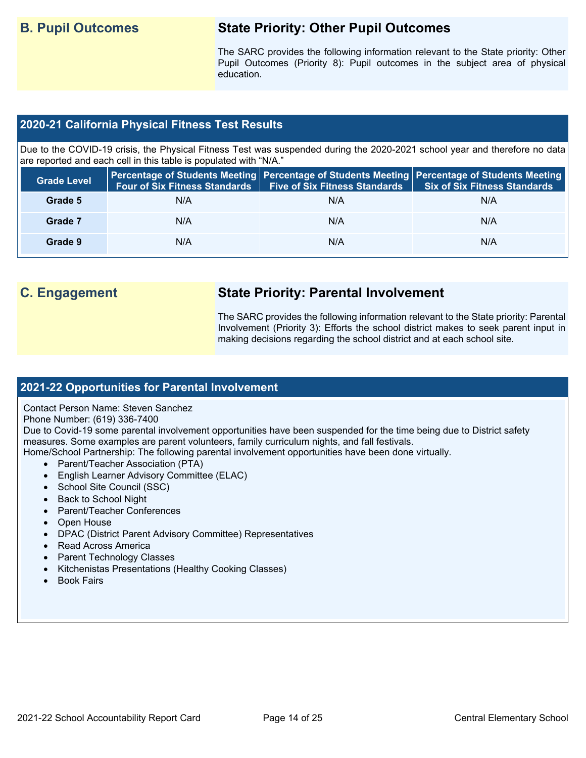## **B. Pupil Outcomes State Priority: Other Pupil Outcomes**

 Pupil Outcomes (Priority 8): Pupil outcomes in the subject area of physical The SARC provides the following information relevant to the State priority: Other education.

### **2020-21 California Physical Fitness Test Results**

 Due to the COVID-19 crisis, the Physical Fitness Test was suspended during the 2020-2021 school year and therefore no data are reported and each cell in this table is populated with "N/A."

| <b>Grade Level</b> | <b>Four of Six Fitness Standards</b> | Five of Six Fitness Standards   Six of Six Fitness Standards | Percentage of Students Meeting Percentage of Students Meeting Percentage of Students Meeting |
|--------------------|--------------------------------------|--------------------------------------------------------------|----------------------------------------------------------------------------------------------|
| Grade 5            | N/A                                  | N/A                                                          | N/A                                                                                          |
| Grade 7            | N/A                                  | N/A                                                          | N/A                                                                                          |
| Grade 9            | N/A                                  | N/A                                                          | N/A                                                                                          |

## **C. Engagement State Priority: Parental Involvement**

The SARC provides the following information relevant to the State priority: Parental Involvement (Priority 3): Efforts the school district makes to seek parent input in making decisions regarding the school district and at each school site.

### **2021-22 Opportunities for Parental Involvement**

Contact Person Name: Steven Sanchez

### Phone Number: (619) 336-7400

Due to Covid-19 some parental involvement opportunities have been suspended for the time being due to District safety measures. Some examples are parent volunteers, family curriculum nights, and fall festivals.

Home/School Partnership: The following parental involvement opportunities have been done virtually.

- Parent/Teacher Association (PTA)
- English Learner Advisory Committee (ELAC)
- School Site Council (SSC)
- Back to School Night
- Parent/Teacher Conferences
- Open House
- DPAC (District Parent Advisory Committee) Representatives
- Read Across America
- Parent Technology Classes
- Kitchenistas Presentations (Healthy Cooking Classes)
- **Book Fairs**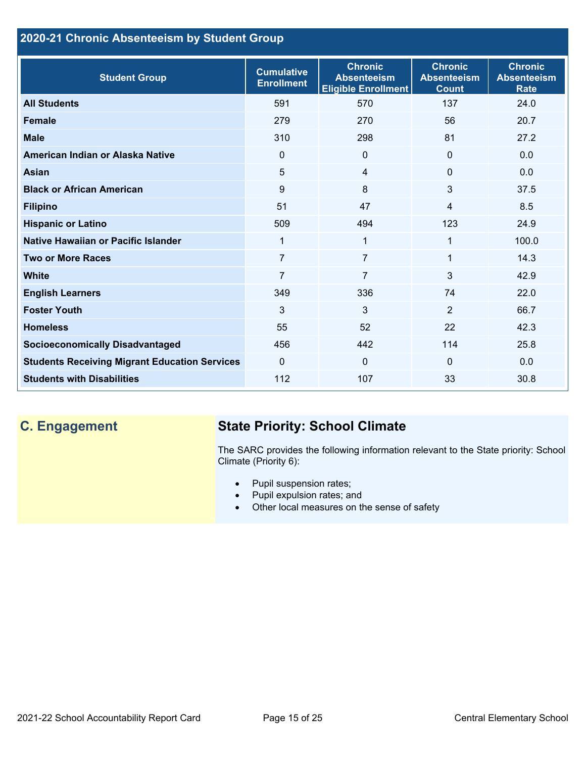## **2020-21 Chronic Absenteeism by Student Group**

| <b>Student Group</b>                                 | <b>Cumulative</b><br><b>Enrollment</b> | <b>Chronic</b><br><b>Absenteeism</b><br><b>Eligible Enrollment</b> | <b>Chronic</b><br><b>Absenteeism</b><br><b>Count</b> | <b>Chronic</b><br><b>Absenteeism</b><br><b>Rate</b> |
|------------------------------------------------------|----------------------------------------|--------------------------------------------------------------------|------------------------------------------------------|-----------------------------------------------------|
| <b>All Students</b>                                  | 591                                    | 570                                                                | 137                                                  | 24.0                                                |
| <b>Female</b>                                        | 279                                    | 270                                                                | 56                                                   | 20.7                                                |
| <b>Male</b>                                          | 310                                    | 298                                                                | 81                                                   | 27.2                                                |
| American Indian or Alaska Native                     | 0                                      | $\mathbf{0}$                                                       | $\mathbf{0}$                                         | 0.0                                                 |
| <b>Asian</b>                                         | 5                                      | $\overline{4}$                                                     | $\mathbf{0}$                                         | 0.0                                                 |
| <b>Black or African American</b>                     | 9                                      | 8                                                                  | 3                                                    | 37.5                                                |
| <b>Filipino</b>                                      | 51                                     | 47                                                                 | $\overline{4}$                                       | 8.5                                                 |
| <b>Hispanic or Latino</b>                            | 509                                    | 494                                                                | 123                                                  | 24.9                                                |
| Native Hawaiian or Pacific Islander                  | 1                                      | 1                                                                  | 1                                                    | 100.0                                               |
| <b>Two or More Races</b>                             | $\overline{7}$                         | $\overline{7}$                                                     | 1                                                    | 14.3                                                |
| <b>White</b>                                         | 7                                      | $\overline{7}$                                                     | 3                                                    | 42.9                                                |
| <b>English Learners</b>                              | 349                                    | 336                                                                | 74                                                   | 22.0                                                |
| <b>Foster Youth</b>                                  | 3                                      | 3                                                                  | 2                                                    | 66.7                                                |
| <b>Homeless</b>                                      | 55                                     | 52                                                                 | 22                                                   | 42.3                                                |
| <b>Socioeconomically Disadvantaged</b>               | 456                                    | 442                                                                | 114                                                  | 25.8                                                |
| <b>Students Receiving Migrant Education Services</b> | $\mathbf{0}$                           | $\mathbf{0}$                                                       | $\Omega$                                             | 0.0                                                 |
| <b>Students with Disabilities</b>                    | 112                                    | 107                                                                | 33                                                   | 30.8                                                |

## **C. Engagement State Priority: School Climate**

 The SARC provides the following information relevant to the State priority: School Climate (Priority 6):

- Pupil suspension rates;
- Pupil expulsion rates; and
- Other local measures on the sense of safety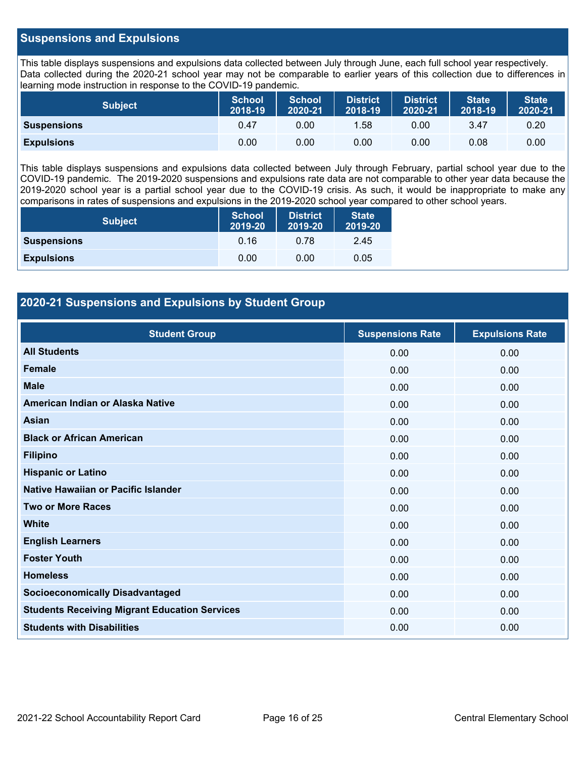### **Suspensions and Expulsions**

This table displays suspensions and expulsions data collected between July through June, each full school year respectively. This table displays suspensions and expulsions data collected between July through June, each full school year respectively.<br>Data collected during the 2020-21 school year may not be comparable to earlier years of this coll learning mode instruction in response to the COVID-19 pandemic.

| <b>Subject</b>     | <b>School</b><br>2018-19 | <b>School</b><br>2020-21 | <b>District</b><br>2018-19 | <b>District</b><br>2020-21 | <b>State</b><br>2018-19 | <b>State</b><br>2020-21 |
|--------------------|--------------------------|--------------------------|----------------------------|----------------------------|-------------------------|-------------------------|
| <b>Suspensions</b> | 0.47                     | 0.00                     | 1.58                       | 0.00                       | 3.47                    | 0.20                    |
| <b>Expulsions</b>  | 0.00                     | 0.00                     | 0.00                       | 0.00                       | 0.08                    | 0.00                    |

 2019-2020 school year is a partial school year due to the COVID-19 crisis. As such, it would be inappropriate to make any This table displays suspensions and expulsions data collected between July through February, partial school year due to the COVID-19 pandemic. The 2019-2020 suspensions and expulsions rate data are not comparable to other year data because the comparisons in rates of suspensions and expulsions in the 2019-2020 school year compared to other school years.

| <b>Subject</b>     | <b>School</b><br>2019-20 | <b>District</b><br>2019-20 | <b>State</b><br>2019-20 |
|--------------------|--------------------------|----------------------------|-------------------------|
| <b>Suspensions</b> | 0.16                     | 0.78                       | 2.45                    |
| <b>Expulsions</b>  | 0.00                     | 0.00                       | 0.05                    |

### **2020-21 Suspensions and Expulsions by Student Group**

| <b>Student Group</b>                                 | <b>Suspensions Rate</b> | <b>Expulsions Rate</b> |
|------------------------------------------------------|-------------------------|------------------------|
| <b>All Students</b>                                  | 0.00                    | 0.00                   |
| <b>Female</b>                                        | 0.00                    | 0.00                   |
| <b>Male</b>                                          | 0.00                    | 0.00                   |
| American Indian or Alaska Native                     | 0.00                    | 0.00                   |
| Asian                                                | 0.00                    | 0.00                   |
| <b>Black or African American</b>                     | 0.00                    | 0.00                   |
| <b>Filipino</b>                                      | 0.00                    | 0.00                   |
| <b>Hispanic or Latino</b>                            | 0.00                    | 0.00                   |
| Native Hawaiian or Pacific Islander                  | 0.00                    | 0.00                   |
| <b>Two or More Races</b>                             | 0.00                    | 0.00                   |
| <b>White</b>                                         | 0.00                    | 0.00                   |
| <b>English Learners</b>                              | 0.00                    | 0.00                   |
| <b>Foster Youth</b>                                  | 0.00                    | 0.00                   |
| <b>Homeless</b>                                      | 0.00                    | 0.00                   |
| <b>Socioeconomically Disadvantaged</b>               | 0.00                    | 0.00                   |
| <b>Students Receiving Migrant Education Services</b> | 0.00                    | 0.00                   |
| <b>Students with Disabilities</b>                    | 0.00                    | 0.00                   |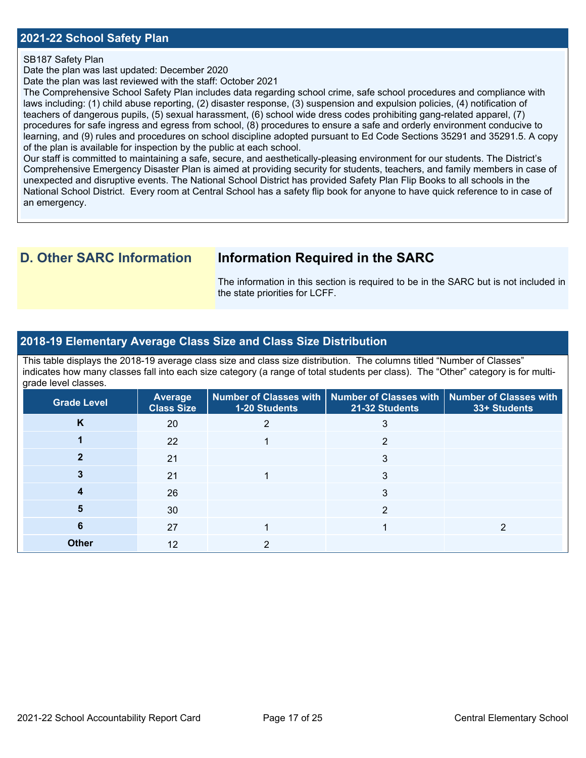### **2021-22 School Safety Plan**

### SB187 Safety Plan

Date the plan was last updated: December 2020

Date the plan was last reviewed with the staff: October 2021

 The Comprehensive School Safety Plan includes data regarding school crime, safe school procedures and compliance with laws including: (1) child abuse reporting, (2) disaster response, (3) suspension and expulsion policies, (4) notification of procedures for safe ingress and egress from school, (8) procedures to ensure a safe and orderly environment conducive to teachers of dangerous pupils, (5) sexual harassment, (6) school wide dress codes prohibiting gang-related apparel, (7) learning, and (9) rules and procedures on school discipline adopted pursuant to Ed Code Sections 35291 and 35291.5. A copy of the plan is available for inspection by the public at each school.

Our staff is committed to maintaining a safe, secure, and aesthetically-pleasing environment for our students. The District's Comprehensive Emergency Disaster Plan is aimed at providing security for students, teachers, and family members in case of unexpected and disruptive events. The National School District has provided Safety Plan Flip Books to all schools in the National School District. Every room at Central School has a safety flip book for anyone to have quick reference to in case of an emergency.

## **D. Other SARC Information Information Required in the SARC**

 The information in this section is required to be in the SARC but is not included in the state priorities for LCFF.

### **2018-19 Elementary Average Class Size and Class Size Distribution**

 indicates how many classes fall into each size category (a range of total students per class). The "Other" category is for multi-This table displays the 2018-19 average class size and class size distribution. The columns titled "Number of Classes" grade level classes.

| <b>Grade Level</b> | Average<br><b>Class Size</b> | <b>1-20 Students</b> | Number of Classes with   Number of Classes with   Number of Classes with<br>21-32 Students | 33+ Students |
|--------------------|------------------------------|----------------------|--------------------------------------------------------------------------------------------|--------------|
| K                  | 20                           |                      |                                                                                            |              |
|                    | 22                           |                      | 2                                                                                          |              |
|                    | 21                           |                      | 3                                                                                          |              |
|                    | 21                           |                      | 3                                                                                          |              |
|                    | 26                           |                      | 3                                                                                          |              |
|                    | 30                           |                      |                                                                                            |              |
| 6                  | 27                           |                      |                                                                                            |              |
| <b>Other</b>       | 12                           |                      |                                                                                            |              |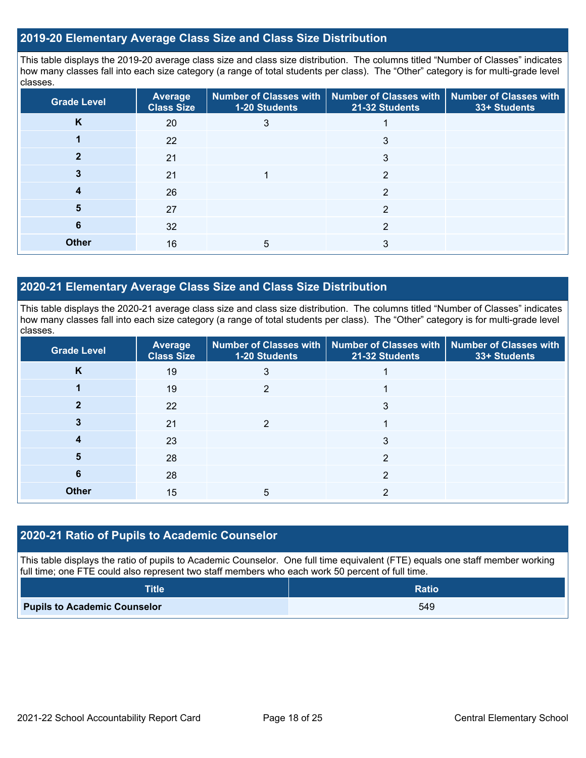### **2019-20 Elementary Average Class Size and Class Size Distribution**

This table displays the 2019-20 average class size and class size distribution. The columns titled "Number of Classes" indicates how many classes fall into each size category (a range of total students per class). The "Other" category is for multi-grade level classes.

| <b>Grade Level</b> | <b>Average</b><br><b>Class Size</b> | <b>1-20 Students</b> | Number of Classes with   Number of Classes with  <br>21-32 Students | <b>Number of Classes with</b><br>33+ Students |
|--------------------|-------------------------------------|----------------------|---------------------------------------------------------------------|-----------------------------------------------|
| K                  | 20                                  |                      |                                                                     |                                               |
|                    | 22                                  |                      |                                                                     |                                               |
|                    | 21                                  |                      | 3                                                                   |                                               |
|                    | 21                                  |                      | 2                                                                   |                                               |
|                    | 26                                  |                      | 2                                                                   |                                               |
| 5                  | 27                                  |                      | 2                                                                   |                                               |
| 6                  | 32                                  |                      | 2                                                                   |                                               |
| <b>Other</b>       | 16                                  | 5                    | 3                                                                   |                                               |

### **2020-21 Elementary Average Class Size and Class Size Distribution**

This table displays the 2020-21 average class size and class size distribution. The columns titled "Number of Classes" indicates how many classes fall into each size category (a range of total students per class). The "Other" category is for multi-grade level classes.

| <b>Grade Level</b> | <b>Average</b><br><b>Class Size</b> | <b>1-20 Students</b> | Number of Classes with   Number of Classes with   Number of Classes with<br>21-32 Students | 33+ Students |
|--------------------|-------------------------------------|----------------------|--------------------------------------------------------------------------------------------|--------------|
| K                  | 19                                  | 3                    |                                                                                            |              |
|                    | 19                                  | 2                    |                                                                                            |              |
|                    | 22                                  |                      | 3                                                                                          |              |
|                    | 21                                  |                      |                                                                                            |              |
| 4                  | 23                                  |                      | 3                                                                                          |              |
| 5                  | 28                                  |                      | 2                                                                                          |              |
| 6                  | 28                                  |                      | 2                                                                                          |              |
| <b>Other</b>       | 15                                  | 5                    |                                                                                            |              |

### **2020-21 Ratio of Pupils to Academic Counselor**

This table displays the ratio of pupils to Academic Counselor. One full time equivalent (FTE) equals one staff member working full time; one FTE could also represent two staff members who each work 50 percent of full time.

| <b>Title</b>                        | <b>Ratio</b> |
|-------------------------------------|--------------|
| <b>Pupils to Academic Counselor</b> | 549          |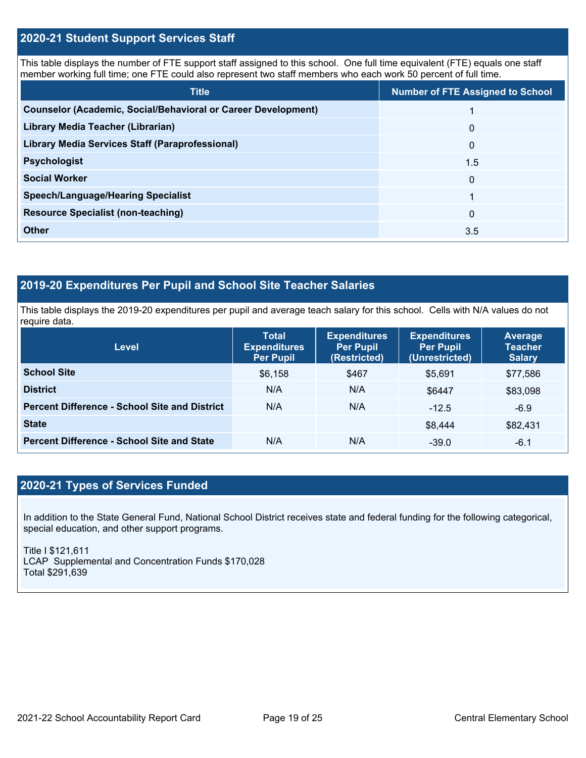### **2020-21 Student Support Services Staff**

This table displays the number of FTE support staff assigned to this school. One full time equivalent (FTE) equals one staff member working full time; one FTE could also represent two staff members who each work 50 percent of full time.

| <b>Title</b>                                                         | <b>Number of FTE Assigned to School</b> |
|----------------------------------------------------------------------|-----------------------------------------|
| <b>Counselor (Academic, Social/Behavioral or Career Development)</b> |                                         |
| Library Media Teacher (Librarian)                                    | $\mathbf 0$                             |
| <b>Library Media Services Staff (Paraprofessional)</b>               | $\mathbf{0}$                            |
| <b>Psychologist</b>                                                  | 1.5                                     |
| <b>Social Worker</b>                                                 | $\Omega$                                |
| <b>Speech/Language/Hearing Specialist</b>                            |                                         |
| <b>Resource Specialist (non-teaching)</b>                            | $\Omega$                                |
| <b>Other</b>                                                         | 3.5                                     |

### **2019-20 Expenditures Per Pupil and School Site Teacher Salaries**

 This table displays the 2019-20 expenditures per pupil and average teach salary for this school. Cells with N/A values do not require data.

| <b>Level</b>                                         | <b>Total</b><br><b>Expenditures</b><br>Per Pupil | <b>Expenditures</b><br><b>Per Pupil</b><br>(Restricted) | <b>Expenditures</b><br><b>Per Pupil</b><br>(Unrestricted) | Average<br><b>Teacher</b><br><b>Salary</b> |
|------------------------------------------------------|--------------------------------------------------|---------------------------------------------------------|-----------------------------------------------------------|--------------------------------------------|
| <b>School Site</b>                                   | \$6,158                                          | \$467                                                   | \$5,691                                                   | \$77,586                                   |
| <b>District</b>                                      | N/A                                              | N/A                                                     | \$6447                                                    | \$83,098                                   |
| <b>Percent Difference - School Site and District</b> | N/A                                              | N/A                                                     | $-12.5$                                                   | $-6.9$                                     |
| <b>State</b>                                         |                                                  |                                                         | \$8,444                                                   | \$82,431                                   |
| <b>Percent Difference - School Site and State</b>    | N/A                                              | N/A                                                     | $-39.0$                                                   | $-6.1$                                     |

## **2020-21 Types of Services Funded**

In addition to the State General Fund, National School District receives state and federal funding for the following categorical, special education, and other support programs.

Title I \$121,611 LCAP Supplemental and Concentration Funds \$170,028 Total \$291,639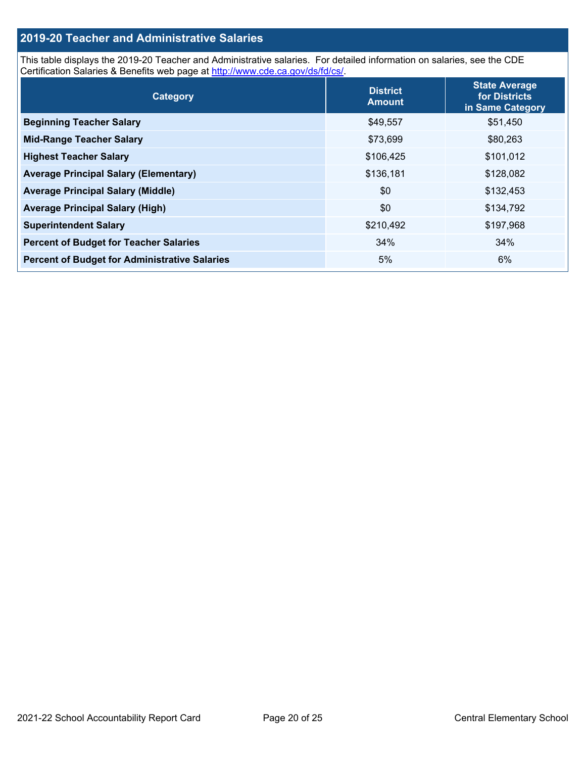### **2019-20 Teacher and Administrative Salaries**

This table displays the 2019-20 Teacher and Administrative salaries. For detailed information on salaries, see the CDE Certification Salaries & Benefits web page at<http://www.cde.ca.gov/ds/fd/cs/>.

| Category                                             | <b>District</b><br><b>Amount</b> | <b>State Average</b><br>for Districts<br>in Same Category |
|------------------------------------------------------|----------------------------------|-----------------------------------------------------------|
| <b>Beginning Teacher Salary</b>                      | \$49,557                         | \$51,450                                                  |
| <b>Mid-Range Teacher Salary</b>                      | \$73,699                         | \$80,263                                                  |
| <b>Highest Teacher Salary</b>                        | \$106,425                        | \$101,012                                                 |
| <b>Average Principal Salary (Elementary)</b>         | \$136,181                        | \$128,082                                                 |
| <b>Average Principal Salary (Middle)</b>             | \$0                              | \$132,453                                                 |
| <b>Average Principal Salary (High)</b>               | \$0                              | \$134,792                                                 |
| <b>Superintendent Salary</b>                         | \$210,492                        | \$197,968                                                 |
| <b>Percent of Budget for Teacher Salaries</b>        | 34%                              | 34%                                                       |
| <b>Percent of Budget for Administrative Salaries</b> | 5%                               | 6%                                                        |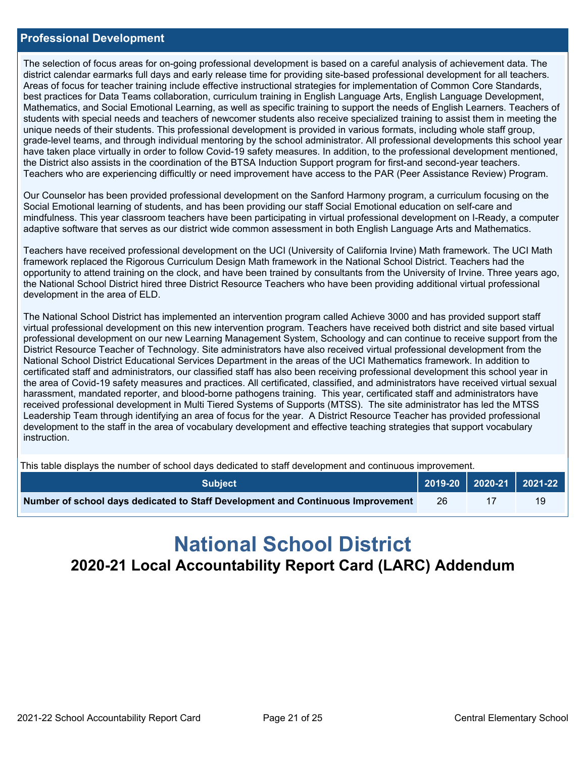### **Professional Development**

 district calendar earmarks full days and early release time for providing site-based professional development for all teachers. best practices for Data Teams collaboration, curriculum training in English Language Arts, English Language Development, grade-level teams, and through individual mentoring by the school administrator. All professional developments this school year have taken place virtually in order to follow Covid-19 safety measures. In addition, to the professional development mentioned, the District also assists in the coordination of the BTSA Induction Support program for first-and second-year teachers. Teachers who are experiencing difficultly or need improvement have access to the PAR (Peer Assistance Review) Program. The selection of focus areas for on-going professional development is based on a careful analysis of achievement data. The Areas of focus for teacher training include effective instructional strategies for implementation of Common Core Standards, Mathematics, and Social Emotional Learning, as well as specific training to support the needs of English Learners. Teachers of students with special needs and teachers of newcomer students also receive specialized training to assist them in meeting the unique needs of their students. This professional development is provided in various formats, including whole staff group,

 Social Emotional learning of students, and has been providing our staff Social Emotional education on self-care and adaptive software that serves as our district wide common assessment in both English Language Arts and Mathematics. Our Counselor has been provided professional development on the Sanford Harmony program, a curriculum focusing on the mindfulness. This year classroom teachers have been participating in virtual professional development on I-Ready, a computer

 framework replaced the Rigorous Curriculum Design Math framework in the National School District. Teachers had the the National School District hired three District Resource Teachers who have been providing additional virtual professional Teachers have received professional development on the UCI (University of California Irvine) Math framework. The UCI Math opportunity to attend training on the clock, and have been trained by consultants from the University of Irvine. Three years ago, development in the area of ELD.

The National School District has implemented an intervention program called Achieve 3000 and has provided support staff virtual professional development on this new intervention program. Teachers have received both district and site based virtual professional development on our new Learning Management System, Schoology and can continue to receive support from the District Resource Teacher of Technology. Site administrators have also received virtual professional development from the National School District Educational Services Department in the areas of the UCI Mathematics framework. In addition to certificated staff and administrators, our classified staff has also been receiving professional development this school year in the area of Covid-19 safety measures and practices. All certificated, classified, and administrators have received virtual sexual harassment, mandated reporter, and blood-borne pathogens training. This year, certificated staff and administrators have received professional development in Multi Tiered Systems of Supports (MTSS). The site administrator has led the MTSS Leadership Team through identifying an area of focus for the year. A District Resource Teacher has provided professional development to the staff in the area of vocabulary development and effective teaching strategies that support vocabulary instruction.

This table displays the number of school days dedicated to staff development and continuous improvement.

| <b>Subiect</b>                                                                  |    |  |
|---------------------------------------------------------------------------------|----|--|
| Number of school days dedicated to Staff Development and Continuous Improvement | 26 |  |

# **National School District 2020-21 Local Accountability Report Card (LARC) Addendum**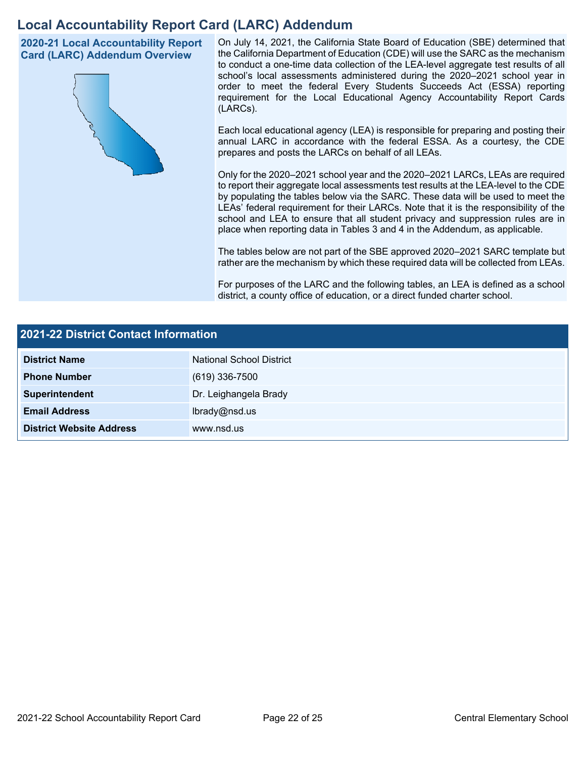## **Local Accountability Report Card (LARC) Addendum**

**2020-21 Local Accountability Report Card (LARC) Addendum Overview** 



 On July 14, 2021, the California State Board of Education (SBE) determined that the California Department of Education (CDE) will use the SARC as the mechanism to conduct a one-time data collection of the LEA-level aggregate test results of all school's local assessments administered during the 2020–2021 school year in order to meet the federal Every Students Succeeds Act (ESSA) reporting requirement for the Local Educational Agency Accountability Report Cards (LARCs).

Each local educational agency (LEA) is responsible for preparing and posting their annual LARC in accordance with the federal ESSA. As a courtesy, the CDE prepares and posts the LARCs on behalf of all LEAs.

 to report their aggregate local assessments test results at the LEA-level to the CDE by populating the tables below via the SARC. These data will be used to meet the Only for the 2020–2021 school year and the 2020–2021 LARCs, LEAs are required LEAs' federal requirement for their LARCs. Note that it is the responsibility of the school and LEA to ensure that all student privacy and suppression rules are in place when reporting data in Tables 3 and 4 in the Addendum, as applicable.

The tables below are not part of the SBE approved 2020–2021 SARC template but rather are the mechanism by which these required data will be collected from LEAs.

For purposes of the LARC and the following tables, an LEA is defined as a school district, a county office of education, or a direct funded charter school.

| 2021-22 District Contact Information |                          |  |  |
|--------------------------------------|--------------------------|--|--|
| <b>District Name</b>                 | National School District |  |  |
| <b>Phone Number</b>                  | $(619)$ 336-7500         |  |  |
| Superintendent                       | Dr. Leighangela Brady    |  |  |
| <b>Email Address</b>                 | lbrady@nsd.us            |  |  |
| <b>District Website Address</b>      | www.nsd.us               |  |  |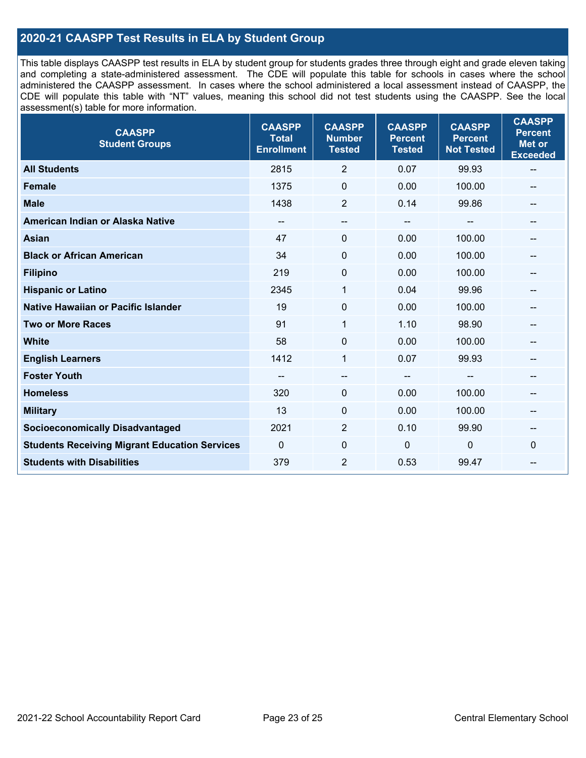### **2020-21 CAASPP Test Results in ELA by Student Group**

 and completing a state-administered assessment. The CDE will populate this table for schools in cases where the school CDE will populate this table with "NT" values, meaning this school did not test students using the CAASPP. See the local This table displays CAASPP test results in ELA by student group for students grades three through eight and grade eleven taking administered the CAASPP assessment. In cases where the school administered a local assessment instead of CAASPP, the assessment(s) table for more information.

| <b>CAASPP</b><br><b>Student Groups</b>               | <b>CAASPP</b><br><b>Total</b><br><b>Enrollment</b> | <b>CAASPP</b><br><b>Number</b><br><b>Tested</b> | <b>CAASPP</b><br><b>Percent</b><br><b>Tested</b> | <b>CAASPP</b><br><b>Percent</b><br><b>Not Tested</b> | <b>CAASPP</b><br><b>Percent</b><br><b>Met or</b><br><b>Exceeded</b> |
|------------------------------------------------------|----------------------------------------------------|-------------------------------------------------|--------------------------------------------------|------------------------------------------------------|---------------------------------------------------------------------|
| <b>All Students</b>                                  | 2815                                               | $\overline{2}$                                  | 0.07                                             | 99.93                                                | $\overline{\phantom{m}}$                                            |
| <b>Female</b>                                        | 1375                                               | $\mathbf 0$                                     | 0.00                                             | 100.00                                               |                                                                     |
| <b>Male</b>                                          | 1438                                               | $\overline{2}$                                  | 0.14                                             | 99.86                                                | --                                                                  |
| American Indian or Alaska Native                     | --                                                 | --                                              | $\overline{\phantom{m}}$                         | --                                                   | --                                                                  |
| <b>Asian</b>                                         | 47                                                 | 0                                               | 0.00                                             | 100.00                                               |                                                                     |
| <b>Black or African American</b>                     | 34                                                 | 0                                               | 0.00                                             | 100.00                                               |                                                                     |
| <b>Filipino</b>                                      | 219                                                | 0                                               | 0.00                                             | 100.00                                               |                                                                     |
| <b>Hispanic or Latino</b>                            | 2345                                               | 1                                               | 0.04                                             | 99.96                                                |                                                                     |
| <b>Native Hawaiian or Pacific Islander</b>           | 19                                                 | $\mathbf 0$                                     | 0.00                                             | 100.00                                               |                                                                     |
| <b>Two or More Races</b>                             | 91                                                 | $\mathbf{1}$                                    | 1.10                                             | 98.90                                                | --                                                                  |
| <b>White</b>                                         | 58                                                 | $\Omega$                                        | 0.00                                             | 100.00                                               | $\hspace{0.05cm}$                                                   |
| <b>English Learners</b>                              | 1412                                               | $\mathbf{1}$                                    | 0.07                                             | 99.93                                                |                                                                     |
| <b>Foster Youth</b>                                  |                                                    | $\overline{\phantom{a}}$                        | $-$                                              |                                                      |                                                                     |
| <b>Homeless</b>                                      | 320                                                | 0                                               | 0.00                                             | 100.00                                               | --                                                                  |
| <b>Military</b>                                      | 13                                                 | 0                                               | 0.00                                             | 100.00                                               | --                                                                  |
| <b>Socioeconomically Disadvantaged</b>               | 2021                                               | $\overline{2}$                                  | 0.10                                             | 99.90                                                | --                                                                  |
| <b>Students Receiving Migrant Education Services</b> | $\mathbf{0}$                                       | $\mathbf 0$                                     | $\mathbf 0$                                      | 0                                                    | $\Omega$                                                            |
| <b>Students with Disabilities</b>                    | 379                                                | $\overline{2}$                                  | 0.53                                             | 99.47                                                |                                                                     |